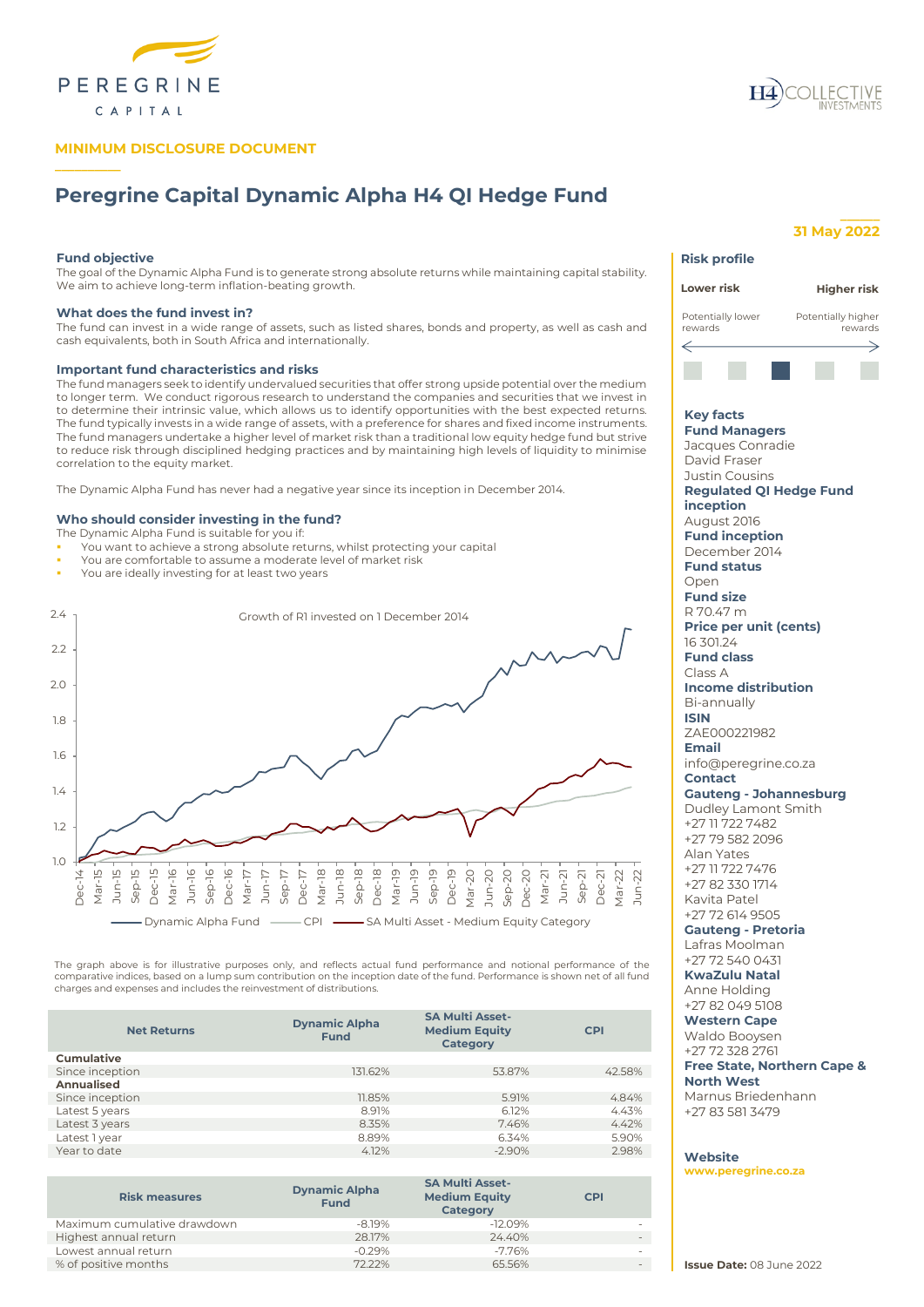

# **MINIMUM DISCLOSURE DOCUMENT**



# **Peregrine Capital Dynamic Alpha H4 QI Hedge Fund**

## **Fund objective**

**\_\_\_\_\_\_\_\_\_\_**

The goal of the Dynamic Alpha Fund is to generate strong absolute returns while maintaining capital stability. We aim to achieve long-term inflation-beating growth.

## **What does the fund invest in?**

The fund can invest in a wide range of assets, such as listed shares, bonds and property, as well as cash and cash equivalents, both in South Africa and internationally.

## **Important fund characteristics and risks**

The fund managers seek to identify undervalued securities that offer strong upside potential over the medium to longer term. We conduct rigorous research to understand the companies and securities that we invest in to determine their intrinsic value, which allows us to identify opportunities with the best expected returns. The fund typically invests in a wide range of assets, with a preference for shares and fixed income instruments. The fund managers undertake a higher level of market risk than a traditional low equity hedge fund but strive to reduce risk through disciplined hedging practices and by maintaining high levels of liquidity to minimise correlation to the equity market.

The Dynamic Alpha Fund has never had a negative year since its inception in December 2014.

## **Who should consider investing in the fund?**

- The Dynamic Alpha Fund is suitable for you if:
- You want to achieve a strong absolute returns, whilst protecting your capital
- You are comfortable to assume a moderate level of market risk
- You are ideally investing for at least two years



The graph above is for illustrative purposes only, and reflects actual fund performance and notional performance of the<br>comparative indices, based on a lump sum contribution on the inception date of the fund. Performance i charges and expenses and includes the reinvestment of distributions.

| <b>Dynamic Alpha</b><br><b>Fund</b> | <b>SA Multi Asset-</b><br><b>Medium Equity</b><br><b>Category</b> | <b>CPI</b> |  |
|-------------------------------------|-------------------------------------------------------------------|------------|--|
|                                     |                                                                   |            |  |
| 131.62%                             | 53.87%                                                            | 42.58%     |  |
|                                     |                                                                   |            |  |
| 11.85%                              | 5.91%                                                             | 4.84%      |  |
| 8.91%                               | 6.12%                                                             | 4.43%      |  |
| 8.35%                               | 7.46%                                                             | 4.42%      |  |
| 8.89%                               | 6.34%                                                             | 5.90%      |  |
| 4.12%                               | $-2.90%$                                                          | 2.98%      |  |
|                                     |                                                                   |            |  |

| <b>SA Multi Asset-</b><br><b>Medium Equity</b><br><b>CPI</b><br><b>Category</b> |
|---------------------------------------------------------------------------------|
| $-12.09%$                                                                       |
| 24.40%                                                                          |
| $-7.76%$                                                                        |
| 65.56%                                                                          |
|                                                                                 |

# **\_\_\_\_\_\_ 31 May 2022**

# **Risk profile Lower risk Higher risk** Potentially lower Potentially higher rewards rewards ⇐ **Key facts Fund Managers** Jacques Conradie David Fraser Justin Cousins **Regulated QI Hedge Fund inception** August 2016 **Fund inception** December 2014 **Fund status** Open **Fund size** R 70.47 m **Price per unit (cents)** 16 301.24 **Fund class** Class A **Income distribution** Bi-annually **ISIN** ZAE000221982 **Email** info@peregrine.co.za **Contact Gauteng - Johannesburg** Dudley Lamont Smith +27 11 722 7482 +27 79 582 2096 Alan Yates +27 11 722 7476 +27 82 330 1714 Kavita Patel +27 72 614 9505 **Gauteng - Pretoria** Lafras Moolman +27 72 540 0431 **KwaZulu Natal** Anne Holding +27 82 049 5108 **Western Cape** Waldo Booysen +27 72 328 2761 **Free State, Northern Cape &**

# **North West** Marnus Briedenhann

+27 83 581 3479

## **Website**

**[www.peregrine.co.za](http://www.peregrine.co.za/)**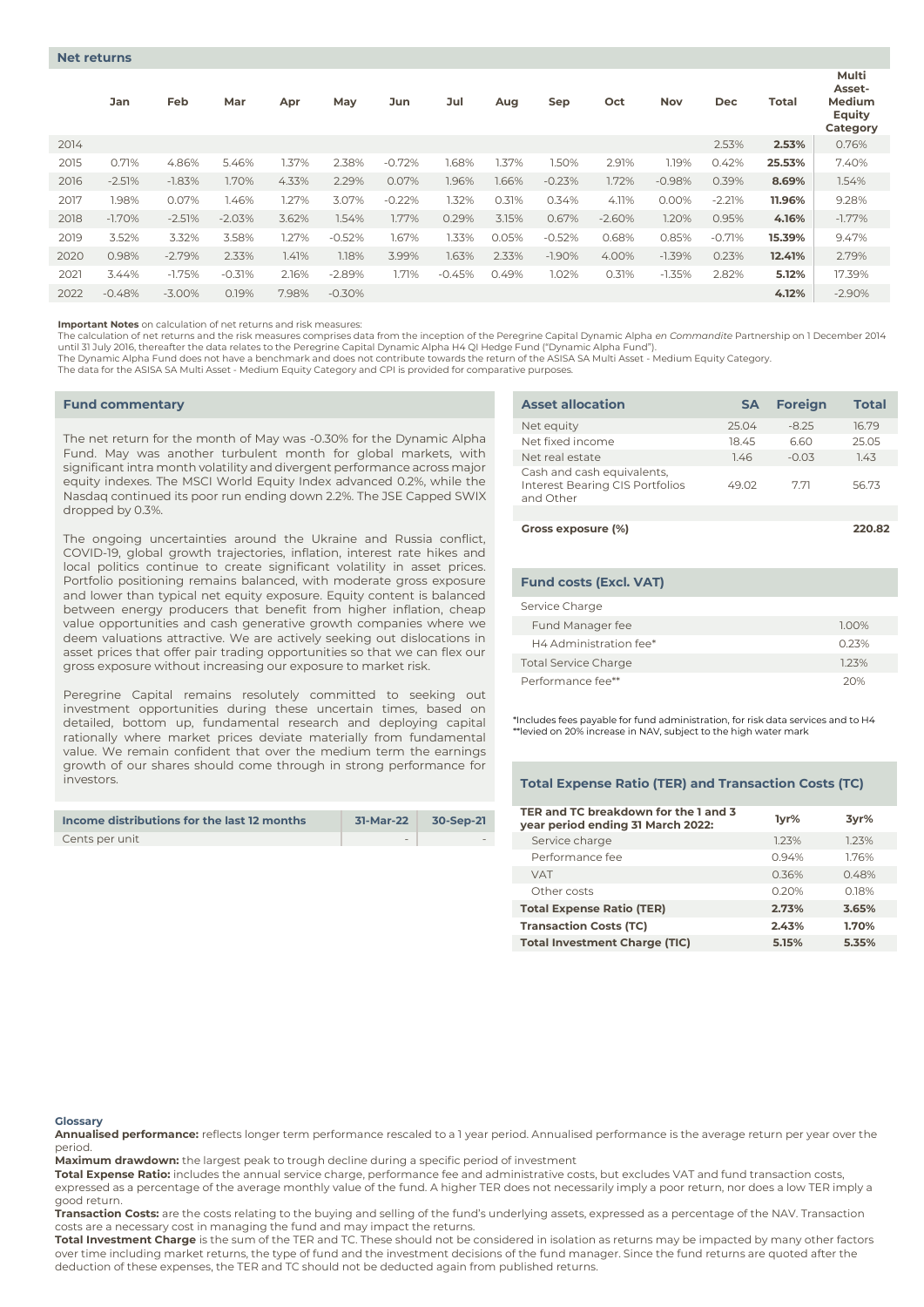|      | Jan      | Feb      | Mar      | Apr   | May      | Jun      | Jul      | Aug   | Sep       | Oct      | <b>Nov</b> | Dec      | Total  | Multi<br>Asset-<br>Medium<br>Equity<br>Category |
|------|----------|----------|----------|-------|----------|----------|----------|-------|-----------|----------|------------|----------|--------|-------------------------------------------------|
| 2014 |          |          |          |       |          |          |          |       |           |          |            | 2.53%    | 2.53%  | 0.76%                                           |
| 2015 | 0.71%    | 4.86%    | 5.46%    | 1.37% | 2.38%    | $-0.72%$ | 1.68%    | 1.37% | 1.50%     | 2.91%    | 1.19%      | 0.42%    | 25.53% | 7.40%                                           |
| 2016 | $-2.51%$ | $-1.83%$ | 1.70%    | 4.33% | 2.29%    | 0.07%    | 1.96%    | 1.66% | $-0.23%$  | 1.72%    | $-0.98%$   | 0.39%    | 8.69%  | 1.54%                                           |
| 2017 | 1.98%    | 0.07%    | 1.46%    | 1.27% | 3.07%    | $-0.22%$ | 1.32%    | 0.31% | 0.34%     | 4.11%    | 0.00%      | $-2.21%$ | 11.96% | 9.28%                                           |
| 2018 | $-1.70%$ | $-2.51%$ | $-2.03%$ | 3.62% | 1.54%    | 1.77%    | 0.29%    | 3.15% | 0.67%     | $-2.60%$ | 1.20%      | 0.95%    | 4.16%  | $-1.77\%$                                       |
| 2019 | 3.52%    | 3.32%    | 3.58%    | 1.27% | $-0.52%$ | 1.67%    | 1.33%    | 0.05% | $-0.52%$  | 0.68%    | 0.85%      | $-0.71%$ | 15.39% | 9.47%                                           |
| 2020 | 0.98%    | $-2.79%$ | 2.33%    | 1.41% | 1.18%    | 3.99%    | 1.63%    | 2.33% | $-1.90\%$ | 4.00%    | $-1.39%$   | 0.23%    | 12.41% | 2.79%                                           |
| 2021 | 3.44%    | $-1.75%$ | $-0.31%$ | 2.16% | $-2.89%$ | 1.71%    | $-0.45%$ | 0.49% | 1.02%     | 0.31%    | $-1.35%$   | 2.82%    | 5.12%  | 17.39%                                          |
| 2022 | $-0.48%$ | $-3.00%$ | 0.19%    | 7.98% | $-0.30%$ |          |          |       |           |          |            |          | 4.12%  | $-2.90%$                                        |

**Important Notes** on calculation of net returns and risk measures:

The calculation of net returns and the risk measures comprises data from the inception of the Peregrine Capital Dynamic Alpha *en Commandite* Partnership on 1 December 2014 until 31 July 2016, thereafter the data relates to the Peregrine Capital Dynamic Alpha H4 QI Hedge Fund ("Dynamic Alpha Fund").<br>The Dynamic Alpha Fund does not have a benchmark and does not contribute towards the return of

The data for the ASISA SA Multi Asset - Medium Equity Category and CPI is provided for comparative purposes.

#### **Fund commentary**

The net return for the month of May was -0.30% for the Dynamic Alpha Fund. May was another turbulent month for global markets, with significant intra month volatility and divergent performance across major equity indexes. The MSCI World Equity Index advanced 0.2%, while the Nasdaq continued its poor run ending down 2.2%. The JSE Capped SWIX dropped by 0.3%.

The ongoing uncertainties around the Ukraine and Russia conflict, COVID-19, global growth trajectories, inflation, interest rate hikes and local politics continue to create significant volatility in asset prices. Portfolio positioning remains balanced, with moderate gross exposure and lower than typical net equity exposure. Equity content is balanced between energy producers that benefit from higher inflation, cheap value opportunities and cash generative growth companies where we deem valuations attractive. We are actively seeking out dislocations in asset prices that offer pair trading opportunities so that we can flex our gross exposure without increasing our exposure to market risk.

Peregrine Capital remains resolutely committed to seeking out investment opportunities during these uncertain times, based on detailed, bottom up, fundamental research and deploying capital rationally where market prices deviate materially from fundamental value. We remain confident that over the medium term the earnings growth of our shares should come through in strong performance for investors.

| Income distributions for the last 12 months | 31-Mar-22 | 30-Sep-21 |
|---------------------------------------------|-----------|-----------|
| Cents per unit                              | $\sim$    |           |

| <b>Asset allocation</b>                                                           | <b>SA</b> | <b>Foreign</b> | <b>Total</b> |
|-----------------------------------------------------------------------------------|-----------|----------------|--------------|
| Net equity                                                                        | 25.04     | $-8.25$        | 16.79        |
| Net fixed income                                                                  | 18.45     | 6.60           | 25.05        |
| Net real estate                                                                   | 1.46      | $-0.03$        | 1.43         |
| Cash and cash equivalents,<br><b>Interest Bearing CIS Portfolios</b><br>and Other | 49.02     | 771            | 56.73        |
|                                                                                   |           |                |              |
| Gross exposure (%)                                                                |           |                | 220.82       |

| <b>Fund costs (Excl. VAT)</b> |       |
|-------------------------------|-------|
| Service Charge                |       |
| Fund Manager fee              | 1.00% |
| H4 Administration fee*        | 0.23% |
| <b>Total Service Charge</b>   | 123%  |
| Performance fee**             | つへ%   |

\*Includes fees payable for fund administration, for risk data services and to H4  $^*$ levied on 20% increase in NAV, subject to the high water mark

## **Total Expense Ratio (TER) and Transaction Costs (TC)**

| TER and TC breakdown for the 1 and 3<br>year period ending 31 March 2022: | lyr%  | 3yr%  |
|---------------------------------------------------------------------------|-------|-------|
| Service charge                                                            | 1.23% | 123%  |
| Performance fee                                                           | 0.94% | 1.76% |
| <b>VAT</b>                                                                | 0.36% | 0.48% |
| Other costs                                                               | 0.20% | 0.18% |
| <b>Total Expense Ratio (TER)</b>                                          | 2.73% | 3.65% |
| <b>Transaction Costs (TC)</b>                                             | 2.43% | 1.70% |
| <b>Total Investment Charge (TIC)</b>                                      | 5.15% | 5.35% |

#### **Glossary**

**Annualised performance:** reflects longer term performance rescaled to a 1 year period. Annualised performance is the average return per year over the period.

**Maximum drawdown:** the largest peak to trough decline during a specific period of investment

**Total Expense Ratio:** includes the annual service charge, performance fee and administrative costs, but excludes VAT and fund transaction costs, expressed as a percentage of the average monthly value of the fund. A higher TER does not necessarily imply a poor return, nor does a low TER imply a good return.

**Transaction Costs:** are the costs relating to the buying and selling of the fund's underlying assets, expressed as a percentage of the NAV. Transaction costs are a necessary cost in managing the fund and may impact the returns.

**Total Investment Charge** is the sum of the TER and TC. These should not be considered in isolation as returns may be impacted by many other factors over time including market returns, the type of fund and the investment decisions of the fund manager. Since the fund returns are quoted after the deduction of these expenses, the TER and TC should not be deducted again from published returns.